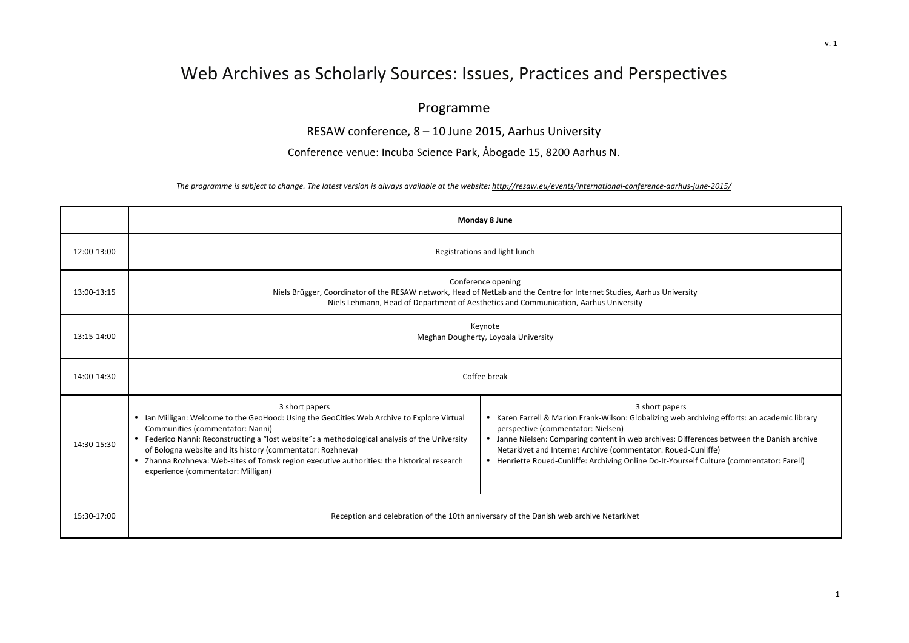## Web Archives as Scholarly Sources: Issues, Practices and Perspectives

## Programme

RESAW conference,  $8 - 10$  June 2015, Aarhus University

Conference venue: Incuba Science Park, Åbogade 15, 8200 Aarhus N.

The programme is subject to change. The latest version is always available at the website: http://resaw.eu/events/international-conference-aarhus-june-2015/

|             | Monday 8 June                                                                                                                                                                                                                                                                                                                                                                                                                                         |                                                                                                                                                                                                                                                                                                                                                                                                                   |  |
|-------------|-------------------------------------------------------------------------------------------------------------------------------------------------------------------------------------------------------------------------------------------------------------------------------------------------------------------------------------------------------------------------------------------------------------------------------------------------------|-------------------------------------------------------------------------------------------------------------------------------------------------------------------------------------------------------------------------------------------------------------------------------------------------------------------------------------------------------------------------------------------------------------------|--|
| 12:00-13:00 | Registrations and light lunch                                                                                                                                                                                                                                                                                                                                                                                                                         |                                                                                                                                                                                                                                                                                                                                                                                                                   |  |
| 13:00-13:15 | Conference opening<br>Niels Brügger, Coordinator of the RESAW network, Head of NetLab and the Centre for Internet Studies, Aarhus University<br>Niels Lehmann, Head of Department of Aesthetics and Communication, Aarhus University                                                                                                                                                                                                                  |                                                                                                                                                                                                                                                                                                                                                                                                                   |  |
| 13:15-14:00 | Keynote<br>Meghan Dougherty, Loyoala University                                                                                                                                                                                                                                                                                                                                                                                                       |                                                                                                                                                                                                                                                                                                                                                                                                                   |  |
| 14:00-14:30 | Coffee break                                                                                                                                                                                                                                                                                                                                                                                                                                          |                                                                                                                                                                                                                                                                                                                                                                                                                   |  |
| 14:30-15:30 | 3 short papers<br>• Ian Milligan: Welcome to the GeoHood: Using the GeoCities Web Archive to Explore Virtual<br>Communities (commentator: Nanni)<br>• Federico Nanni: Reconstructing a "lost website": a methodological analysis of the University<br>of Bologna website and its history (commentator: Rozhneva)<br>• Zhanna Rozhneva: Web-sites of Tomsk region executive authorities: the historical research<br>experience (commentator: Milligan) | 3 short papers<br>• Karen Farrell & Marion Frank-Wilson: Globalizing web archiving efforts: an academic library<br>perspective (commentator: Nielsen)<br>• Janne Nielsen: Comparing content in web archives: Differences between the Danish archive<br>Netarkivet and Internet Archive (commentator: Roued-Cunliffe)<br>• Henriette Roued-Cunliffe: Archiving Online Do-It-Yourself Culture (commentator: Farell) |  |
| 15:30-17:00 | Reception and celebration of the 10th anniversary of the Danish web archive Netarkivet                                                                                                                                                                                                                                                                                                                                                                |                                                                                                                                                                                                                                                                                                                                                                                                                   |  |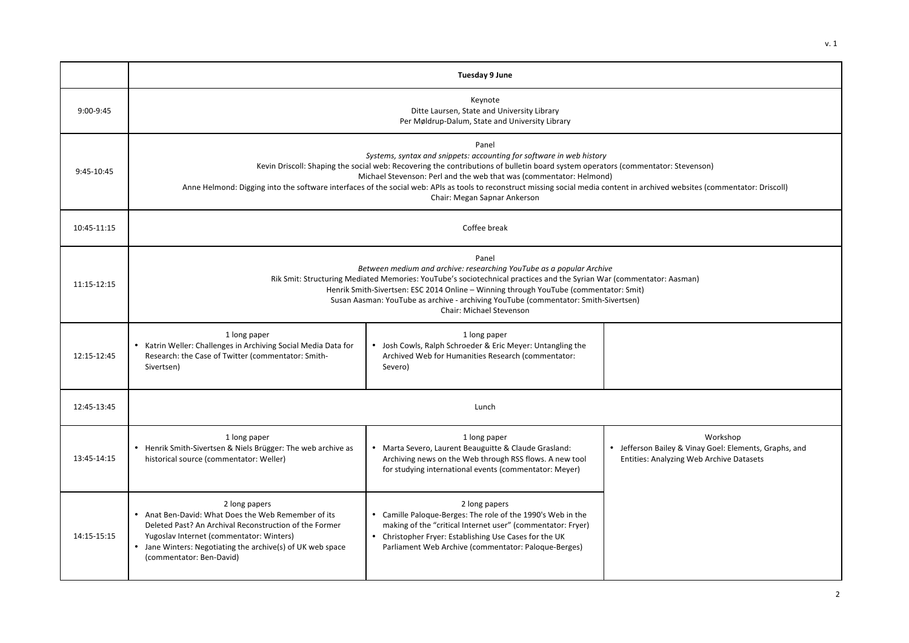v. 1

|             | Tuesday 9 June                                                                                                                                                                                                                                                                                                                                                                                                                                                                                           |                                                                                                                                                                                                                                                               |                                                                                                                |
|-------------|----------------------------------------------------------------------------------------------------------------------------------------------------------------------------------------------------------------------------------------------------------------------------------------------------------------------------------------------------------------------------------------------------------------------------------------------------------------------------------------------------------|---------------------------------------------------------------------------------------------------------------------------------------------------------------------------------------------------------------------------------------------------------------|----------------------------------------------------------------------------------------------------------------|
| 9:00-9:45   | Keynote<br>Ditte Laursen, State and University Library<br>Per Møldrup-Dalum, State and University Library                                                                                                                                                                                                                                                                                                                                                                                                |                                                                                                                                                                                                                                                               |                                                                                                                |
| 9:45-10:45  | Panel<br>Systems, syntax and snippets: accounting for software in web history<br>Kevin Driscoll: Shaping the social web: Recovering the contributions of bulletin board system operators (commentator: Stevenson)<br>Michael Stevenson: Perl and the web that was (commentator: Helmond)<br>Anne Helmond: Digging into the software interfaces of the social web: APIs as tools to reconstruct missing social media content in archived websites (commentator: Driscoll)<br>Chair: Megan Sapnar Ankerson |                                                                                                                                                                                                                                                               |                                                                                                                |
| 10:45-11:15 | Coffee break                                                                                                                                                                                                                                                                                                                                                                                                                                                                                             |                                                                                                                                                                                                                                                               |                                                                                                                |
| 11:15-12:15 | Panel<br>Between medium and archive: researching YouTube as a popular Archive<br>Rik Smit: Structuring Mediated Memories: YouTube's sociotechnical practices and the Syrian War (commentator: Aasman)<br>Henrik Smith-Sivertsen: ESC 2014 Online - Winning through YouTube (commentator: Smit)<br>Susan Aasman: YouTube as archive - archiving YouTube (commentator: Smith-Sivertsen)<br>Chair: Michael Stevenson                                                                                        |                                                                                                                                                                                                                                                               |                                                                                                                |
| 12:15-12:45 | 1 long paper<br>• Katrin Weller: Challenges in Archiving Social Media Data for<br>Research: the Case of Twitter (commentator: Smith-<br>Sivertsen)                                                                                                                                                                                                                                                                                                                                                       | 1 long paper<br>• Josh Cowls, Ralph Schroeder & Eric Meyer: Untangling the<br>Archived Web for Humanities Research (commentator:<br>Severo)                                                                                                                   |                                                                                                                |
| 12:45-13:45 | Lunch                                                                                                                                                                                                                                                                                                                                                                                                                                                                                                    |                                                                                                                                                                                                                                                               |                                                                                                                |
| 13:45-14:15 | 1 long paper<br>• Henrik Smith-Sivertsen & Niels Brügger: The web archive as<br>historical source (commentator: Weller)                                                                                                                                                                                                                                                                                                                                                                                  | 1 long paper<br>• Marta Severo, Laurent Beauguitte & Claude Grasland:<br>Archiving news on the Web through RSS flows. A new tool<br>for studying international events (commentator: Meyer)                                                                    | Workshop<br>• Jefferson Bailey & Vinay Goel: Elements, Graphs, and<br>Entities: Analyzing Web Archive Datasets |
| 14:15-15:15 | 2 long papers<br>• Anat Ben-David: What Does the Web Remember of its<br>Deleted Past? An Archival Reconstruction of the Former<br>Yugoslav Internet (commentator: Winters)<br>• Jane Winters: Negotiating the archive(s) of UK web space<br>(commentator: Ben-David)                                                                                                                                                                                                                                     | 2 long papers<br>• Camille Paloque-Berges: The role of the 1990's Web in the<br>making of the "critical Internet user" (commentator: Fryer)<br>• Christopher Fryer: Establishing Use Cases for the UK<br>Parliament Web Archive (commentator: Paloque-Berges) |                                                                                                                |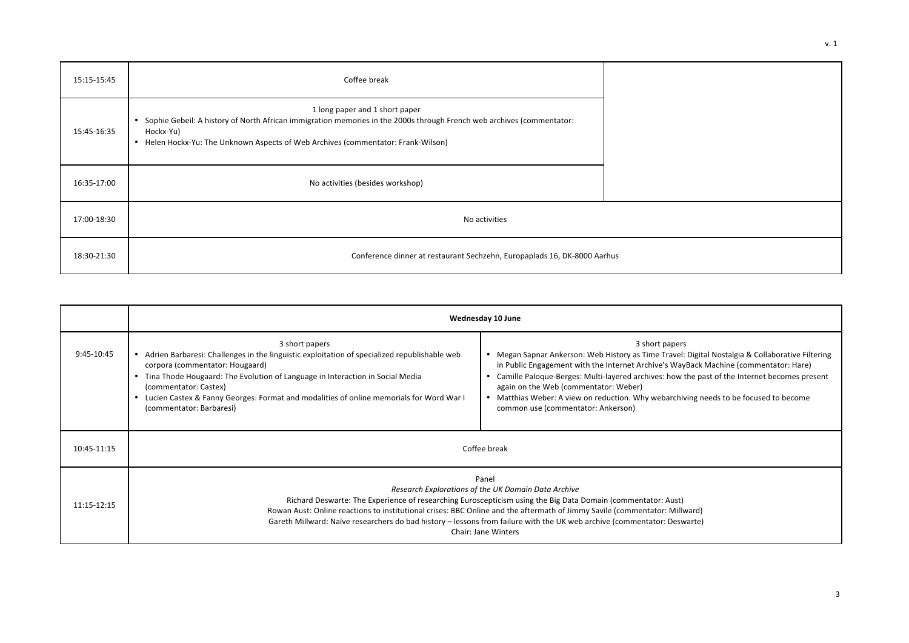| 15:15-15:45 | Coffee break                                                                                                                                                                                                                                                      |  |
|-------------|-------------------------------------------------------------------------------------------------------------------------------------------------------------------------------------------------------------------------------------------------------------------|--|
| 15:45-16:35 | 1 long paper and 1 short paper<br>Sophie Gebeil: A history of North African immigration memories in the 2000s through French web archives (commentator:<br>٠<br>Hockx-Yu)<br>Helen Hockx-Yu: The Unknown Aspects of Web Archives (commentator: Frank-Wilson)<br>٠ |  |
| 16:35-17:00 | No activities (besides workshop)                                                                                                                                                                                                                                  |  |
| 17:00-18:30 | No activities                                                                                                                                                                                                                                                     |  |
| 18:30-21:30 | Conference dinner at restaurant Sechzehn, Europaplads 16, DK-8000 Aarhus                                                                                                                                                                                          |  |

|             | Wednesday 10 June                                                                                                                                                                                                                                                                                                                                                                                                                                                    |                                                                                                                                                                                                                                                                                                                                                                                                                                                                                    |  |
|-------------|----------------------------------------------------------------------------------------------------------------------------------------------------------------------------------------------------------------------------------------------------------------------------------------------------------------------------------------------------------------------------------------------------------------------------------------------------------------------|------------------------------------------------------------------------------------------------------------------------------------------------------------------------------------------------------------------------------------------------------------------------------------------------------------------------------------------------------------------------------------------------------------------------------------------------------------------------------------|--|
| 9:45-10:45  | 3 short papers<br>• Adrien Barbaresi: Challenges in the linguistic exploitation of specialized republishable web<br>corpora (commentator: Hougaard)<br>• Tina Thode Hougaard: The Evolution of Language in Interaction in Social Media<br>(commentator: Castex)<br>• Lucien Castex & Fanny Georges: Format and modalities of online memorials for Word War I<br>(commentator: Barbaresi)                                                                             | 3 short papers<br>• Megan Sapnar Ankerson: Web History as Time Travel: Digital Nostalgia & Collaborative Filtering<br>in Public Engagement with the Internet Archive's WayBack Machine (commentator: Hare)<br>Camille Paloque-Berges: Multi-layered archives: how the past of the Internet becomes present<br>again on the Web (commentator: Weber)<br>• Matthias Weber: A view on reduction. Why webarchiving needs to be focused to become<br>common use (commentator: Ankerson) |  |
| 10:45-11:15 | Coffee break                                                                                                                                                                                                                                                                                                                                                                                                                                                         |                                                                                                                                                                                                                                                                                                                                                                                                                                                                                    |  |
| 11:15-12:15 | Panel<br>Research Explorations of the UK Domain Data Archive<br>Richard Deswarte: The Experience of researching Euroscepticism using the Big Data Domain (commentator: Aust)<br>Rowan Aust: Online reactions to institutional crises: BBC Online and the aftermath of Jimmy Savile (commentator: Millward)<br>Gareth Millward: Naïve researchers do bad history - lessons from failure with the UK web archive (commentator: Deswarte)<br><b>Chair: Jane Winters</b> |                                                                                                                                                                                                                                                                                                                                                                                                                                                                                    |  |